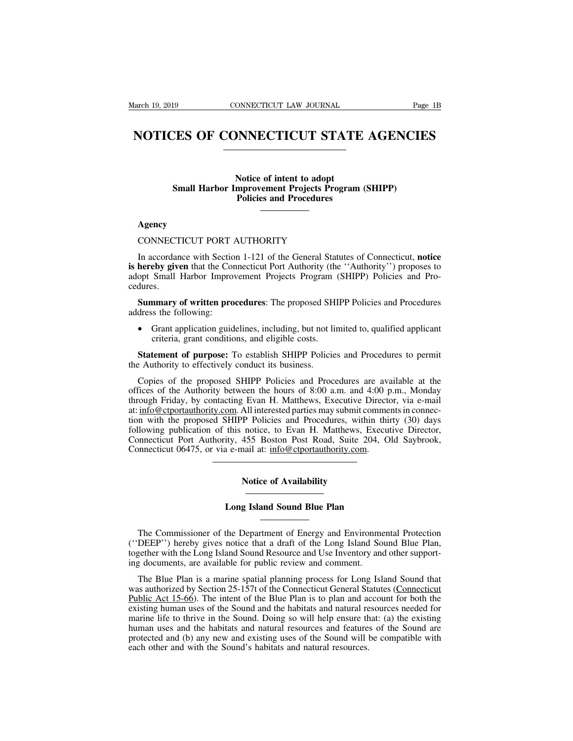# Earch 19, 2019 CONNECTICUT LAW JOURNAL Page 1B<br> **NOTICES OF CONNECTICUT STATE AGENCIES**

**NONECTICUT STATE**<br>
Notice of intent to adopt<br>
mprovement Projects Program<br>
Policies and Procedures **SMALE SOF CONNECTICUT STATE AGENCIF**<br>
Notice of intent to adopt<br>
Small Harbor Improvement Projects Program (SHIPP)<br>
Policies and Procedures **PORICUT STATE**<br>
Policies of intent to adopt<br>
Policies and Procedures<br>
Policies and Procedures Notice of intent to adopt<br>
Small Harbor Improvement Projects Progr:<br>
Policies and Procedures<br>
Agency<br>
CONNECTICUT PORT AUTHORITY<br>
In accordance with Section 1-121 of the General Statute

# **Agency**

In accordance with Section 1-121 of the General Statutes of Connecticut, **notice is hereby given that the Connecticut Port Authority**<br> **is hereby given** that the Connecticut Port Authority (the "Authority") proposes to<br> **is hereby given** that the Connecticut Port Authority (the "Authority") proposes t CONNECTICUT PORT AUTHORITY<br>In accordance with Section 1-121 of the General Statutes of Connecticut, **notice**<br>is **hereby given** that the Connecticut Port Authority (the "Authority") proposes to<br>adopt Small Harbor Improvemen cedures. **Summary of written procedures:** The proposed SHIPP Policies and Procedures<br> **Summary of written procedures:** The proposed SHIPP Policies and Products.<br> **Summary of written procedures**: The proposed SHIPP Policies and Proc In accordance with Section 1-121 of the General Statutes of Connecticut, **notice**<br> **is hereby given** that the Connecticut Port Authority (the "Authority") proposes to<br>
adopt Small Harbor Improvement Projects Program (SHIPP Small Harbor Improvement Projects Program (<br>ss.<br>mmary of written procedures: The proposed SHI<br>is the following:<br>Grant application guidelines, including, but not line<br>criteria, grant conditions, and eligible costs.<br>tement o

**Summary of written procedures:** The proposed SHIPP Policies and Procedures dress the following:<br>
• Grant application guidelines, including, but not limited to, qualified applicant criteria, grant conditions, and eligible

**Summary of written procedures:** The proposed SH<br>address the following:<br>
• Grant application guidelines, including, but not li<br>
criteria, grant conditions, and eligible costs.<br> **Statement of purpose:** To establish SHIPP Po

• Grant application guidelines, including, but not limited to, qualified applicant criteria, grant conditions, and eligible costs.<br> **Statement of purpose:** To establish SHIPP Policies and Procedures to permit examented the • Grant application guidelines, including, but not limited to, qualified applicant<br>criteria, grant conditions, and eligible costs.<br>**Statement of purpose:** To establish SHIPP Policies and Procedures to permit<br>the Authority criteria, grant conditions, and eligible costs.<br> **Statement of purpose:** To establish SHIPP Policies and Procedures to permit<br>
the Authority to effectively conduct its business.<br>
Copies of the proposed SHIPP Policies and P **Statement of purpose:** To establish SHIPP Policies and Procedures to permit<br>the Authority to effectively conduct its business.<br>Copies of the proposed SHIPP Policies and Procedures are available at the<br>offices of the Autho **Statement of purpose:** To establish SHIPP Policies and Procedures to permit<br>the Authority to effectively conduct its business.<br>Copies of the proposed SHIPP Policies and Procedures are available at the<br>offices of the Autho the Authority to effectively conduct its business.<br>
Copies of the proposed SHIPP Policies and Procedures are available at the<br>
offices of the Authority between the hours of 8:00 a.m. and 4:00 p.m., Monday<br>
through Friday, Copies of the proposed SHIPP Policies and Procedures are available at the offices of the Authority between the hours of 8:00 a.m. and 4:00 p.m., Monday through Friday, by contacting Evan H. Matthews, Executive Director, vi Copies of the Authority between the hours of 8:00 a.m. and 4:00 p<br>through Friday, by contacting Evan H. Matthews, Executive Direct<br>at: info@ctportauthority.com. All interested parties may submit comme<br>tion with the propose In Photocal particular and Procedures, with<br>
The Policies and Procedures, with<br>
notice, to Evan H. Matthews, E<br>
455 Boston Post Road, Suite 20<br>
and at: info@ctportauthority.com.<br>
Notice of Availability Ity, 455 Boston Post Road, Suite 204, One a e-mail at: info@ctportauthority.com.<br> **Notice of Availability**<br> **Long Island Sound Blue Plan** 

Notice of Availability<br>
Long Island Sound Blue Plan<br>
The Commissioner of the Department of Energy and Environmental Protection<br>
DEEP'') hereby gives notice that a draft of the Long Island Sound Blue Plan,<br>
gether with the Notice of Availability<br>
Long Island Sound Blue Plan<br>
The Commissioner of the Department of Energy and Environmental Protection<br>
("DEEP") hereby gives notice that a draft of the Long Island Sound Blue Plan,<br>
together with t **EXECUTE:**<br>The Commissioner of the Department of Energy and Environmental Protection<br>("DEEP") hereby gives notice that a draft of the Long Island Sound Blue Plan,<br>together with the Long Island Sound Resource and Use Invent **EXECUTE:**<br>
International Commissioner of the Department of Energy and Environme<br>
("DEEP") hereby gives notice that a draft of the Long Island So<br>
together with the Long Island Sound Resource and Use Inventory and<br>
ing doc The Commissioner of the Department of Energy and Environmental Protection<br>DEEP'') hereby gives notice that a draft of the Long Island Sound Blue Plan,<br>gether with the Long Island Sound Resource and Use Inventory and other

The Commissioner of the Department of Energy and Environmental Protection ("DEEP") hereby gives notice that a draft of the Long Island Sound Blue Plan, together with the Long Island Sound Resource and Use Inventory and oth The Commissioner of the Department of Energy and Environmental Protection ("DEEP") hereby gives notice that a draft of the Long Island Sound Blue Plan, together with the Long Island Sound Resource and Use Inventory and oth ("DEEP") hereby gives notice that a draft of the Long Island Sound Blue Plan, together with the Long Island Sound Resource and Use Inventory and other supporting documents, are available for public review and comment.<br>The together with the Long Island Sound Resource and Use Inventory and other supporting documents, are available for public review and comment.<br>The Blue Plan is a marine spatial planning process for Long Island Sound that was ing documents, are available for public review and comment.<br>The Blue Plan is a marine spatial planning process for Long Island Sound that<br>was authorized by Section 25-157t of the Connecticut General Statutes (Connecticut<br>P The Blue Plan is a marine spatial planning process for Long Island Sound that was authorized by Section 25-157t of the Connecticut General Statutes (Connecticut Public Act 15-66). The intent of the Blue Plan is to plan and The Blue Tian is a manne spatial planting process for Long<br>was authorized by Section 25-157t of the Connecticut General St<br>Public Act 15-66). The intent of the Blue Plan is to plan and a<br>existing human uses of the Sound an